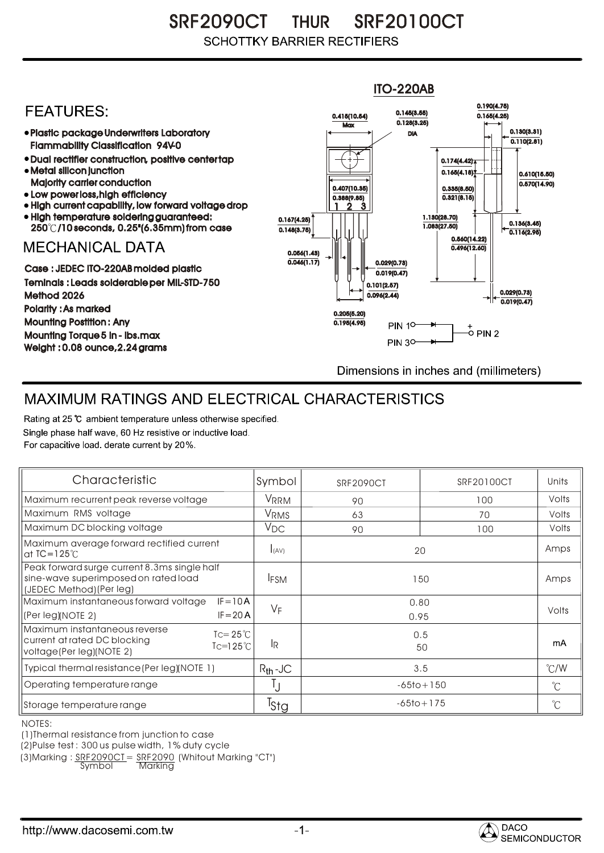SRF2090CT THUR SRF20100CT **SCHOTTKY BARRIER RECTIFIERS** 

## ITO-220AB 0.190(4.75) **FFATURFS:** 0.145(3.55) 0.415(10.54) 0.165(4.25)  $Max \overline{0.128(3.25)}$ Plastic package Underwriters Laboratory 0.130(3.31) DIA  $\overline{0.110(2.81)}$ Flammability Classification 94V-0 Dual rectifier construction, positive center tap 0.174(4.42) Metal silicon junction  $0.165(4.18)$ 0.610(15.50) Majority carrier conduction  $0.570(14.90)$ 0.407(10.35) 0.335(8.50) • Low power loss, high efficiency  $0.321(8.15)$ 0.388(9.85) High current capability, low forward voltage drop 2 1 3 High temperature soldering guaranteed: 1.130(28.70) 0.167(4.25) 250 /10 seconds, 0.25"(6.35mm) from case 1.083(27.50) 0.136(3.45) 0.148(3.75) 0.116(2.95) 0.560(14.22) **MECHANICAL DATA**  $0.496(12.60)$ 0.056(1.43)  $\overline{0.046(1.17)}$   $\rightarrow$   $\|$   $\uparrow$   $\|$   $\|$  0.029(0.73) Case : JEDEC ITO-220AB molded plastic  $0.019(0.47)$ Teminals : Leads solderable per MIL-STD-750 0.101(2.57) 0.029(0.73) Method 2026  $0.096(2.44)$  $0.019(0.47)$ Polarity : As marked 0.205(5.20) Mounting Postition : Any 0.195(4.95) **PIN 10-**Mounting Torque 5 in - lbs.max **PIN 30-**Weight : 0.08 ounce,2.24 grams Dimensions in inches and (millimeters)

## MAXIMUM RATINGS AND ELECTRICAL CHARACTERISTICS

Rating at 25 °C ambient temperature unless otherwise specified. Single phase half wave, 60 Hz resistive or inductive load. For capacitive load, derate current by 20%.

| Characteristic                                                                                                                               | Symbol           | <b>SRF2090CT</b> | <b>SRF20100CT</b> | Units         |
|----------------------------------------------------------------------------------------------------------------------------------------------|------------------|------------------|-------------------|---------------|
| Maximum recurrent peak reverse voltage                                                                                                       | VRRM             | 90               | 100               | Volts         |
| Maximum RMS voltage                                                                                                                          | V <sub>RMS</sub> | 63               | 70                | Volts         |
| Maximum DC blocking voltage                                                                                                                  | V <sub>DC</sub>  | 90               | 100               | Volts         |
| Maximum average forward rectified current<br>at $IC = 125^\circ C$                                                                           | I(AV)            | 20               |                   | Amps          |
| Peak forward surge current 8.3ms single half<br>sine-wave superimposed on rated load<br>(JEDEC Method) (Per leg)                             | <b>IFSM</b>      | 150              |                   | Amps          |
| Maximum instantaneous forward voltage<br>$IF = 10A$                                                                                          |                  | 0.80             |                   | Volts         |
| $IF = 20 A$<br>(Per leg)(NOTE 2)                                                                                                             | $V_F$            |                  | 0.95              |               |
| Maximum instantaneous reverse<br>$\text{I} = 25^{\circ}$ C<br>current at rated DC blocking<br>$Ic=125^{\circ}$ C<br>voltage(Per leg)(NOTE 2) | lR.              |                  | 0.5<br>50         |               |
| Typical thermal resistance (Per leg) (NOTE 1)                                                                                                | $R_{th}$ -JC     | 3.5              |                   | $\degree$ C/W |
| Operating temperature range                                                                                                                  | IJ               | $-65$ to + 150   |                   | $^{\circ}C$   |
| Storage temperature range                                                                                                                    | <sup>T</sup> Stg |                  | $-65$ to + 175    |               |

NOTES:

(1)Thermal resistance from junction to case

(2)Pulse test : 300 us pulse width, 1% duty cycle

(3)Marking : <u>SRF2090CT</u>= <u>SRF2090</u> (Whitout Marking "CT")

Symbol Marking